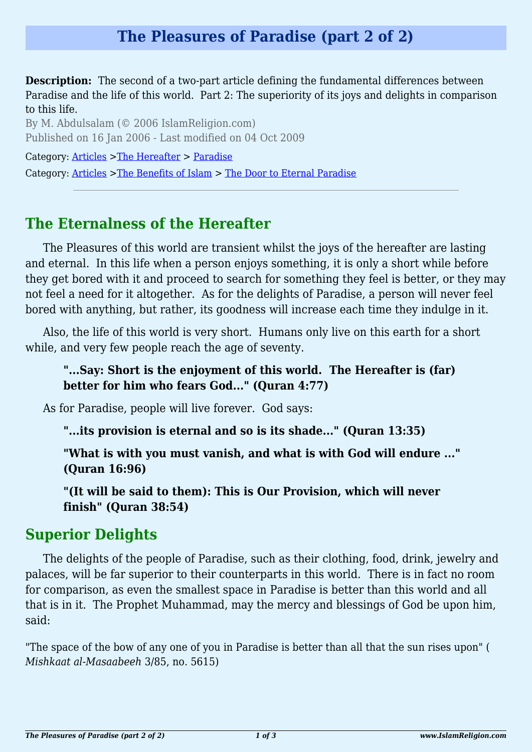**Description:** The second of a two-part article defining the fundamental differences between Paradise and the life of this world. Part 2: The superiority of its joys and delights in comparison to this life.

By M. Abdulsalam (© 2006 IslamReligion.com) Published on 16 Jan 2006 - Last modified on 04 Oct 2009

Category: [Articles](http://www.islamreligion.com/articles/) >[The Hereafter](http://www.islamreligion.com/category/59/) > [Paradise](http://www.islamreligion.com/category/60/)

Category: [Articles](http://www.islamreligion.com/articles/) >[The Benefits of Islam](http://www.islamreligion.com/category/43/) > [The Door to Eternal Paradise](http://www.islamreligion.com/category/102/)

# **The Eternalness of the Hereafter**

The Pleasures of this world are transient whilst the joys of the hereafter are lasting and eternal. In this life when a person enjoys something, it is only a short while before they get bored with it and proceed to search for something they feel is better, or they may not feel a need for it altogether. As for the delights of Paradise, a person will never feel bored with anything, but rather, its goodness will increase each time they indulge in it.

Also, the life of this world is very short. Humans only live on this earth for a short while, and very few people reach the age of seventy.

#### **"...Say: Short is the enjoyment of this world. The Hereafter is (far) better for him who fears God..." (Quran 4:77)**

As for Paradise, people will live forever. God says:

**"...its provision is eternal and so is its shade..." (Quran 13:35)**

**"What is with you must vanish, and what is with God will endure ..." (Quran 16:96)**

**"(It will be said to them): This is Our Provision, which will never finish" (Quran 38:54)**

### **Superior Delights**

The delights of the people of Paradise, such as their clothing, food, drink, jewelry and palaces, will be far superior to their counterparts in this world. There is in fact no room for comparison, as even the smallest space in Paradise is better than this world and all that is in it. The Prophet Muhammad, may the mercy and blessings of God be upon him, said:

"The space of the bow of any one of you in Paradise is better than all that the sun rises upon" ( *Mishkaat al-Masaabeeh* 3/85, no. 5615)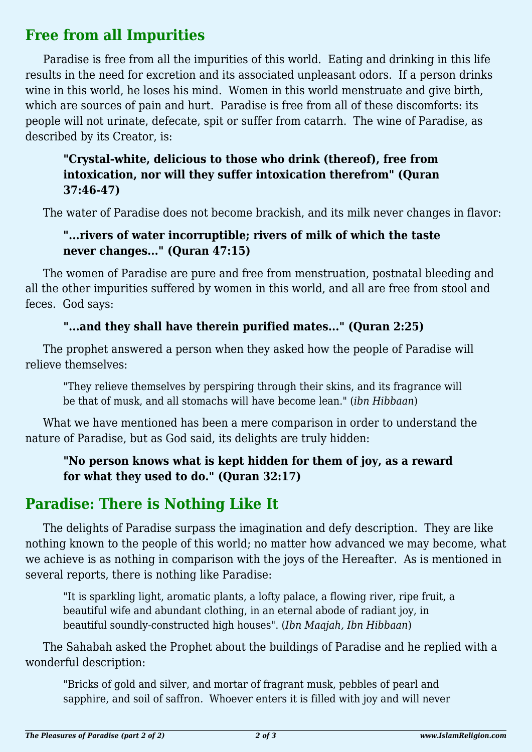## **Free from all Impurities**

Paradise is free from all the impurities of this world. Eating and drinking in this life results in the need for excretion and its associated unpleasant odors. If a person drinks wine in this world, he loses his mind. Women in this world menstruate and give birth, which are sources of pain and hurt. Paradise is free from all of these discomforts: its people will not urinate, defecate, spit or suffer from catarrh. The wine of Paradise, as described by its Creator, is:

#### **"Crystal-white, delicious to those who drink (thereof), free from intoxication, nor will they suffer intoxication therefrom" (Quran 37:46-47)**

The water of Paradise does not become brackish, and its milk never changes in flavor:

#### **"...rivers of water incorruptible; rivers of milk of which the taste never changes..." (Quran 47:15)**

The women of Paradise are pure and free from menstruation, postnatal bleeding and all the other impurities suffered by women in this world, and all are free from stool and feces. God says:

### **"...and they shall have therein purified mates..." (Quran 2:25)**

The prophet answered a person when they asked how the people of Paradise will relieve themselves:

"They relieve themselves by perspiring through their skins, and its fragrance will be that of musk, and all stomachs will have become lean." (*ibn Hibbaan*)

What we have mentioned has been a mere comparison in order to understand the nature of Paradise, but as God said, its delights are truly hidden:

### **"No person knows what is kept hidden for them of joy, as a reward for what they used to do." (Quran 32:17)**

# **Paradise: There is Nothing Like It**

The delights of Paradise surpass the imagination and defy description. They are like nothing known to the people of this world; no matter how advanced we may become, what we achieve is as nothing in comparison with the joys of the Hereafter. As is mentioned in several reports, there is nothing like Paradise:

"It is sparkling light, aromatic plants, a lofty palace, a flowing river, ripe fruit, a beautiful wife and abundant clothing, in an eternal abode of radiant joy, in beautiful soundly-constructed high houses". (*Ibn Maajah, Ibn Hibbaan*)

The Sahabah asked the Prophet about the buildings of Paradise and he replied with a wonderful description:

"Bricks of gold and silver, and mortar of fragrant musk, pebbles of pearl and sapphire, and soil of saffron. Whoever enters it is filled with joy and will never